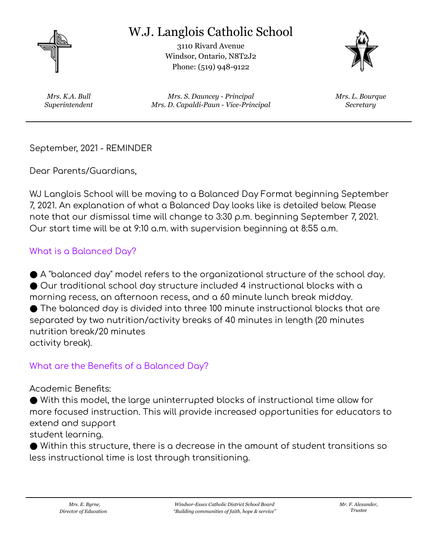

# W.J. Langlois Catholic School

3110 Rivard Avenue Windsor, Ontario, N8T2J2 Phone: (519) 948-9122



*Mrs. K.A. Bull Superintendent*

*Mrs. S. Dauncey - Principal Mrs. D. Capaldi-Paun - Vice-Principal* *Mrs. L. Bourque Secretary*

September, 2021 - REMINDER

Dear Parents/Guardians,

WJ Langlois School will be moving to a Balanced Day Format beginning September 7, 2021. An explanation of what a Balanced Day looks like is detailed below. Please note that our dismissal time will change to 3:30 p.m. beginning September 7, 2021. Our start time will be at 9:10 a.m. with supervision beginning at 8:55 a.m.

#### What is a Balanced Day?

● A "balanced day" model refers to the organizational structure of the school day. ● Our traditional school day structure included 4 instructional blocks with a morning recess, an afternoon recess, and a 60 minute lunch break midday. ● The balanced day is divided into three 100 minute instructional blocks that are separated by two nutrition/activity breaks of 40 minutes in length (20 minutes nutrition break/20 minutes activity break).

#### What are the Benefits of a Balanced Day?

Academic Benefits:

● With this model, the large uninterrupted blocks of instructional time allow for more focused instruction. This will provide increased opportunities for educators to extend and support

student learning.

● Within this structure, there is a decrease in the amount of student transitions so less instructional time is lost through transitioning.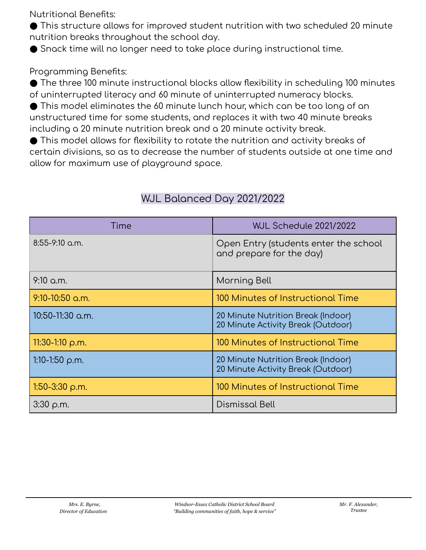Nutritional Benefits:

● This structure allows for improved student nutrition with two scheduled 20 minute nutrition breaks throughout the school day.

● Snack time will no longer need to take place during instructional time.

### Programming Benefits:

● The three 100 minute instructional blocks allow flexibility in scheduling 100 minutes of uninterrupted literacy and 60 minute of uninterrupted numeracy blocks.

 $\bullet$  This model eliminates the 60 minute lunch hour, which can be too long of an unstructured time for some students, and replaces it with two 40 minute breaks including a 20 minute nutrition break and a 20 minute activity break.

● This model allows for flexibility to rotate the nutrition and activity breaks of certain divisions, so as to decrease the number of students outside at one time and allow for maximum use of playground space.

| Time                  | <b>WJL Schedule 2021/2022</b>                                            |
|-----------------------|--------------------------------------------------------------------------|
| $8:55-9:10$ a.m.      | Open Entry (students enter the school<br>and prepare for the day)        |
| $9:10$ a.m.           | Morning Bell                                                             |
| 9:10-10:50 a.m.       | 100 Minutes of Instructional Time                                        |
| 10:50-11:30 a.m.      | 20 Minute Nutrition Break (Indoor)<br>20 Minute Activity Break (Outdoor) |
| 11:30-1:10 $\rho$ .m. | 100 Minutes of Instructional Time                                        |
| 1:10-1:50 $\rho$ .m.  | 20 Minute Nutrition Break (Indoor)<br>20 Minute Activity Break (Outdoor) |
| $1:50-3:30$ p.m.      | 100 Minutes of Instructional Time                                        |
| $3:30$ p.m.           | <b>Dismissal Bell</b>                                                    |

## WJL Balanced Day 2021/2022